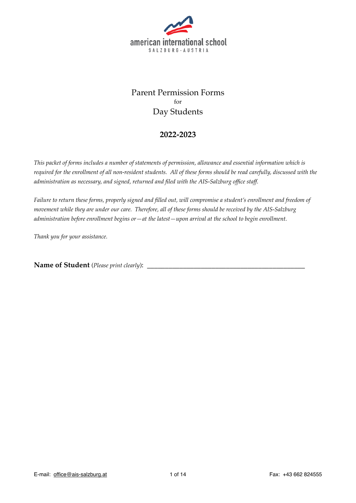

# Parent Permission Forms for Day Students

### **2022-2023**

*This packet of forms includes a number of statements of permission, allowance and essential information which is required for the enrollment of all non-resident students. All of these forms should be read carefully, discussed with the administration as necessary, and signed, returned and filed with the AIS-Salzburg office staff.*

*Failure to return these forms, properly signed and filled out, will compromise a student's enrollment and freedom of movement while they are under our care. Therefore, all of these forms should be received by the AIS-Salzburg administration before enrollment begins or—at the latest—upon arrival at the school to begin enrollment.*

*Thank you for your assistance.*

**Name of Student** (*Please print clearly*): \_\_\_\_\_\_\_\_\_\_\_\_\_\_\_\_\_\_\_\_\_\_\_\_\_\_\_\_\_\_\_\_\_\_\_\_\_\_\_\_\_\_\_\_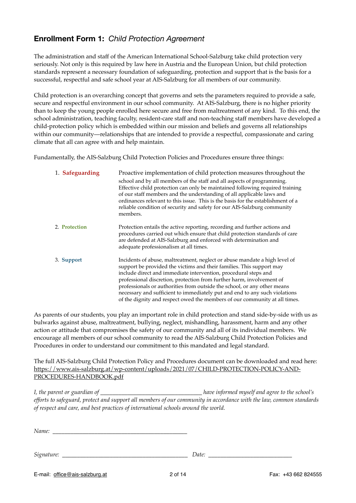# **Enrollment Form 1:** *Child Protection Agreement*

The administration and staff of the American International School-Salzburg take child protection very seriously. Not only is this required by law here in Austria and the European Union, but child protection standards represent a necessary foundation of safeguarding, protection and support that is the basis for a successful, respectful and safe school year at AIS-Salzburg for all members of our community.

Child protection is an overarching concept that governs and sets the parameters required to provide a safe, secure and respectful environment in our school community. At AIS-Salzburg, there is no higher priority than to keep the young people enrolled here secure and free from maltreatment of any kind. To this end, the school administration, teaching faculty, resident-care staff and non-teaching staff members have developed a child-protection policy which is embedded within our mission and beliefs and governs all relationships within our community—relationships that are intended to provide a respectful, compassionate and caring climate that all can agree with and help maintain.

Fundamentally, the AIS-Salzburg Child Protection Policies and Procedures ensure three things:

| 1. Safeguarding | Proactive implementation of child protection measures throughout the<br>school and by all members of the staff and all aspects of programming.<br>Effective child protection can only be maintained following required training<br>of our staff members and the understanding of all applicable laws and<br>ordinances relevant to this issue. This is the basis for the establishment of a<br>reliable condition of security and safety for our AIS-Salzburg community                                                                |
|-----------------|----------------------------------------------------------------------------------------------------------------------------------------------------------------------------------------------------------------------------------------------------------------------------------------------------------------------------------------------------------------------------------------------------------------------------------------------------------------------------------------------------------------------------------------|
|                 | members.                                                                                                                                                                                                                                                                                                                                                                                                                                                                                                                               |
| 2. Protection   | Protection entails the active reporting, recording and further actions and<br>procedures carried out which ensure that child protection standards of care<br>are defended at AIS-Salzburg and enforced with determination and<br>adequate professionalism at all times.                                                                                                                                                                                                                                                                |
| 3. Support      | Incidents of abuse, maltreatment, neglect or abuse mandate a high level of<br>support be provided the victims and their families. This support may<br>include direct and immediate intervention, procedural steps and<br>professional discretion, protection from further harm, involvement of<br>professionals or authorities from outside the school, or any other means<br>necessary and sufficient to immediately put and end to any such violations<br>of the dignity and respect owed the members of our community at all times. |

As parents of our students, you play an important role in child protection and stand side-by-side with us as bulwarks against abuse, maltreatment, bullying, neglect, mishandling, harassment, harm and any other action or attitude that compromises the safety of our community and all of its individual members. We encourage all members of our school community to read the AIS-Salzburg Child Protection Policies and Procedures in order to understand our commitment to this mandated and legal standard.

The full AIS-Salzburg Child Protection Policy and Procedures document can be downloaded and read here: [https://www.ais-salzburg.at/wp-content/uploads/2021/07/CHILD-PROTECTION-POLICY-AND-](https://www.ais-salzburg.at/wp-content/uploads/2021/07/CHILD-PROTECTION-POLICY-AND-PROCEDURES-HANDBOOK.pdf)[PROCEDURES-HANDBOOK.pdf](https://www.ais-salzburg.at/wp-content/uploads/2021/07/CHILD-PROTECTION-POLICY-AND-PROCEDURES-HANDBOOK.pdf)

*I, the parent or guardian of \_\_\_\_\_\_\_\_\_\_\_\_\_\_\_\_\_\_\_\_\_\_\_\_\_\_\_\_\_\_\_\_\_\_ have informed myself and agree to the school's efforts to safeguard, protect and support all members of our community in accordance with the law, common standards of respect and care, and best practices of international schools around the world.*

*Name: \_\_\_\_\_\_\_\_\_\_\_\_\_\_\_\_\_\_\_\_\_\_\_\_\_\_\_\_\_\_\_\_\_\_\_\_\_\_\_\_\_\_\_\_\_*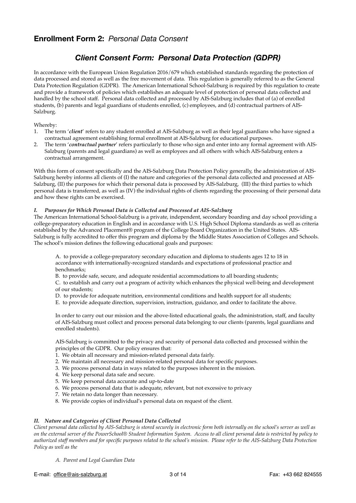# **Enrollment Form 2:** *Personal Data Consent*

# *Client Consent Form: Personal Data Protection (GDPR)*

In accordance with the European Union Regulation 2016/679 which established standards regarding the protection of data processed and stored as well as the free movement of data. This regulation is generally referred to as the General Data Protection Regulation (GDPR). The American International School-Salzburg is required by this regulation to create and provide a framework of policies which establishes an adequate level of protection of personal data collected and handled by the school staff. Personal data collected and processed by AIS-Salzburg includes that of (a) of enrolled students, (b) parents and legal guardians of students enrolled, (c) employees, and (d) contractual partners of AIS-Salzburg.

#### Whereby:

- 1. The term '*client*' refers to any student enrolled at AIS-Salzburg as well as their legal guardians who have signed a contractual agreement establishing formal enrollment at AIS-Salzburg for educational purposes.
- 2. The term '*contractual partner*' refers particularly to those who sign and enter into any formal agreement with AIS-Salzburg (parents and legal guardians) as well as employees and all others with which AIS-Salzburg enters a contractual arrangement.

With this form of consent specifically and the AIS-Salzburg Data Protection Policy generally, the administration of AIS-Salzburg hereby informs all clients of (I) the nature and categories of the personal data collected and processed at AIS-Salzburg, (II) the purposes for which their personal data is processed by AIS-Salzburg, (III) the third parties to which personal data is transferred, as well as (IV) the individual rights of clients regarding the processing of their personal data and how these rights can be exercised.

#### *I. Purposes for Which Personal Data is Collected and Processed at AIS-Salzburg*

The American International School-Salzburg is a private, independent, secondary boarding and day school providing a college-preparatory education in English and in accordance with U.S. High School Diploma standards as well as criteria established by the Advanced Placement® program of the College Board Organization in the United States. AIS-Salzburg is fully accredited to offer this program and diploma by the Middle States Association of Colleges and Schools. The school's mission defines the following educational goals and purposes:

A. to provide a college-preparatory secondary education and diploma to students ages 12 to 18 in accordance with internationally-recognized standards and expectations of professional practice and benchmarks;

B. to provide safe, secure, and adequate residential accommodations to all boarding students;

C. to establish and carry out a program of activity which enhances the physical well-being and development of our students;

- D. to provide for adequate nutrition, environmental conditions and health support for all students;
- E. to provide adequate direction, supervision, instruction, guidance, and order to facilitate the above.

In order to carry out our mission and the above-listed educational goals, the administration, staff, and faculty of AIS-Salzburg must collect and process personal data belonging to our clients (parents, legal guardians and enrolled students).

AIS-Salzburg is committed to the privacy and security of personal data collected and processed within the principles of the GDPR. Our policy ensures that:

- 1. We obtain all necessary and mission-related personal data fairly.
- 2. We maintain all necessary and mission-related personal data for specific purposes.
- 3. We process personal data in ways related to the purposes inherent in the mission.
- 4. We keep personal data safe and secure.
- 5. We keep personal data accurate and up-to-date
- 6. We process personal data that is adequate, relevant, but not excessive to privacy
- 7. We retain no data longer than necessary.
- 8. We provide copies of individual's personal data on request of the client.

### *II. Nature and Categories of Client Personal Data Collected*

*Client personal data collected by AIS-Salzburg is stored securely in electronic form both internally on the school's server as well as on the external server of the PowerSchool® Student Information System. Access to all client personal data is restricted by policy to authorized staff members and for specific purposes related to the school's mission. Please refer to the AIS-Salzburg Data Protection Policy as well as the* 

*A. Parent and Legal Guardian Data*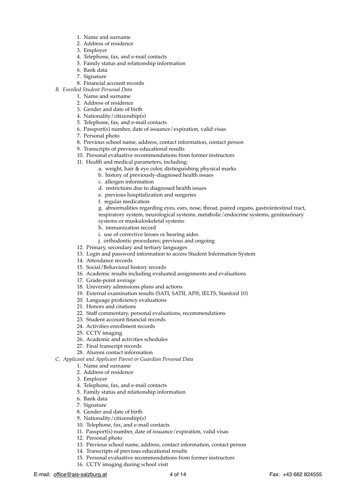- 1. Name and surname
- 2. Address of residence
- 3. Employer
- 4. Telephone, fax, and e-mail contacts
- 5. Family status and relationship information
- 6. Bank data
- 7. Signature
- 8. Financial account records
- *B. Enrolled Student Personal Data*
	- 1. Name and surname
	- 2. Address of residence
	- 3. Gender and date of birth
	- 4. Nationality/citizenship(s)
	- 5. Telephone, fax, and e-mail contacts
	- 6. Passport(s) number, date of issuance/expiration, valid visas
	- 7. Personal photo
	- 8. Previous school name, address, contact information, contact person
	- 9. Transcripts of previous educational results
	- 10. Personal evaluative recommendations from former instructors
	- 11. Health and medical parameters, including:
		- a. weight, hair & eye color, distinguishing physical marks
		- b. history of previously-diagnosed health issues
		- c. allergen information
		- d. restrictions due to diagnosed health issues
		- e. previous hospitalization and surgeries
		- f. regular medication

g. abnormalities regarding eyes, ears, nose, throat, paired organs, gastrointestinal tract, respiratory system, neurological systems, metabolic/endocrine systems, genitourinary

- systems or muskuloskeletal systems
- h. immunization record
- i. use of corrective lenses or hearing aides
- j. orthodontic procedures; previous and ongoing
- 12. Primary, secondary and tertiary languages
- 13. Login and password information to access Student Information System
- 14. Attendance records
- 15. Social/Behavioral history records
- 16. Academic results including evaluated assignments and evaluations
- 17. Grade-point average
- 18. University admissions plans and actions
- 19. External examination results (SATI, SATII, AP®, IELTS, Stanford 10)
- 20. Language proficiency evaluations
- 21. Honors and citations
- 22. Staff commentary, personal evaluations, recommendations
- 23. Student account financial records
- 24. Activities enrollment records
- 25. CCTV imaging
- 26. Academic and activities schedules
- 27. Final transcript records
- 28. Alumni contact information

*C. Applicant and Applicant Parent or Guardian Personal Data*

- 1. Name and surname
- 2. Address of residence
- 3. Employer
- 4. Telephone, fax, and e-mail contacts
- 5. Family status and relationship information
- 6. Bank data
- 7. Signature
- 8. Gender and date of birth
- 9. Nationality/citizenship(s)
- 10. Telephone, fax, and e-mail contacts
- 11. Passport(s) number, date of issuance/expiration, valid visas
- 12. Personal photo
- 13. Previous school name, address, contact information, contact person
- 14. Transcripts of previous educational results
- 15. Personal evaluative recommendations from former instructors
- 16. CCTV imaging during school visit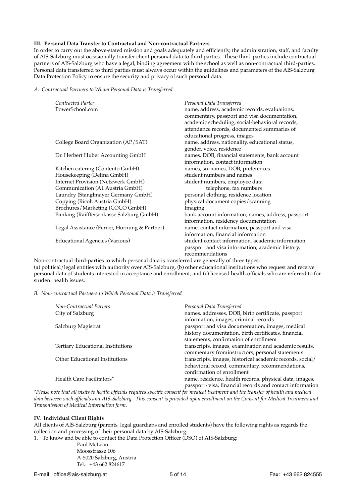#### **III. Personal Data Transfer to Contractual and Non-contractual Partners**

In order to carry out the above-stated mission and goals adequately and efficiently, the administration, staff, and faculty of AIS-Salzburg must occasionally transfer client personal data to third parties. These third-parties include contractual partners of AIS-Salzburg who have a legal, binding agreement with the school as well as non-contractual third-parties. Personal data transferred to third parties must always occur within the guidelines and parameters of the AIS-Salzburg Data Protection Policy to ensure the security and privacy of such personal data.

*A. Contractual Partners to Whom Personal Data is Transferred*

| Contracted Parter                            | <b>Personal Data Transferred</b>                   |
|----------------------------------------------|----------------------------------------------------|
| PowerSchool.com                              | name, address, academic records, evaluations,      |
|                                              | commentary, passport and visa documentation,       |
|                                              | academic scheduling, social-behavioral records,    |
|                                              | attendance records, documented summaries of        |
|                                              | educational progress, images                       |
| College Board Organization (AP/SAT)          | name, address, nationality, educational status,    |
|                                              | gender, voice, residence                           |
| Dr. Herbert Huber Accounting GmbH            | names, DOB, financial statements, bank account     |
|                                              | information, contact information                   |
| Kitchen catering (Contento GmbH)             | names, surnames, DOB, preferences                  |
| Housekeeping (Delina GmbH)                   | student numbers and names                          |
| <b>Internet Provision (Netzwerk GmbH)</b>    | student numbers, employee data                     |
| Communication (A1 Austria GmbH)              | telephone, fax numbers                             |
| Laundry (Stanglmayer Germany GmbH)           | personal clothing, residence location              |
| Copying (Ricoh Austria GmbH)                 | physical document copies/scanning                  |
| Brochures/Marketing (COCO GmbH)              | Imaging                                            |
| Banking (Raifffeisenkasse Salzburg GmbH)     | bank account information, names, address, passport |
|                                              | information, residency documentation               |
| Legal Assistance (Ferner, Hornung & Partner) | name, contact information, passport and visa       |
|                                              | information, financial information                 |
| <b>Educational Agencies (Various)</b>        | student contact information, academic information, |
|                                              | passport and visa information, academic history,   |
|                                              | recommendations                                    |

Non-contractual third-parties to which personal data is transferred are generally of three types: (a) political/legal entities with authority over AIS-Salzburg, (b) other educational institutions who request and receive personal data of students interested in acceptance and enrollment, and (c) licensed health officials who are referred to for student health issues.

*B. Non-contractual Partners to Which Personal Data is Transferred*

| Non-Contractual Parters                  | Personal Data Transferred                                 |
|------------------------------------------|-----------------------------------------------------------|
| City of Salzburg                         | names, addresses, DOB, birth certificate, passport        |
|                                          | information, images, criminal records                     |
| Salzburg Magistrat                       | passport and visa documentation, images, medical          |
|                                          | history documentation, birth certificates, financial      |
|                                          | statements, confirmation of enrollment                    |
| <b>Tertiary Educational Institutions</b> | transcripts, images, examination and academic results,    |
|                                          | commentary frominstructors, personal statements           |
| Other Educational Institutions           | transcripts, images, historical academic records, social/ |
|                                          | behavioral record, commentary, recommendations,           |
|                                          | confirmation of enrollment                                |
| Health Care Facilitators*                | name, residence, health records, physical data, images,   |
|                                          | passport/visa, financial records and contact information  |

*\*Please note that all visits to health officials requires specific consent for medical treatment and the transfer of health and medical data between such officials and AIS-Salzburg. This consent is provided upon enrollment on the Consent for Medical Treatment and Transmission of Medical Information form.*

#### **IV. Individual Client Rights**

All clients of AIS-Salzburg (parents, legal guardians and enrolled students) have the following rights as regards the collection and processing of their personal data by AIS-Salzburg:

1. To know and be able to contact the Data Protection Officer (DSO) of AIS-Salzburg:

Paul McLean Moosstrasse 106 A-5020 Salzburg, Austria Tel.: +43 662 824617

E-mail: [office@ais-salzburg.at](mailto:office@ais-salzburg.at) 5 of 14 Fax: +43 662 824555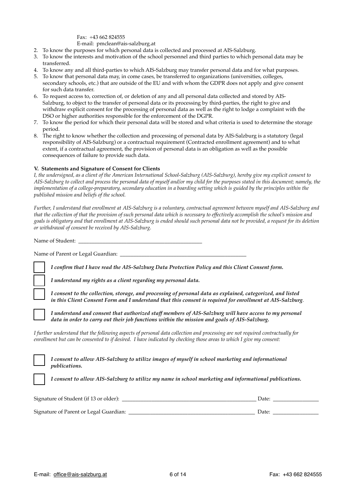Fax: +43 662 824555 E-mail: [pmclean@ais-salzburg.at](mailto:pmclean@ais-salzburg.at)

- 2. To know the purposes for which personal data is collected and processed at AIS-Salzburg.
- 3. To know the interests and motivation of the school personnel and third parties to which personal data may be transferred.
- 4. To know any and all third-parties to which AIS-Salzburg may transfer personal data and for what purposes.
- 5. To know that personal data may, in come cases, be transferred to organizations (universities, colleges, secondary schools, etc.) that are outside of the EU and with whom the GDPR does not apply and give consent for such data transfer.
- 6. To request access to, correction of, or deletion of any and all personal data collected and stored by AIS-Salzburg, to object to the transfer of personal data or its processing by third-parties, the right to give and withdraw explicit consent for the processing of personal data as well as the right to lodge a complaint with the DSO or higher authorities responsible for the enforcement of the DGPR.
- 7. To know the period for which their personal data will be stored and what criteria is used to determine the storage period.
- 8. The right to know whether the collection and processing of personal data by AIS-Salzburg is a statutory (legal responsibility of AIS-Salzburg) or a contractual requirement (Contracted enrollment agreement) and to what extent, if a contractual agreement, the provision of personal data is an obligation as well as the possible consequences of failure to provide such data.

#### **V. Statements and Signature of Consent for Clients**

*I, the undersigned, as a client of the American International School-Salzburg (AIS-Salzburg), hereby give my explicit consent to AIS-Salzburg to collect and process the personal data of myself and/or my child for the purposes stated in this document; namely, the implementation of a college-preparatory, secondary education in a boarding setting which is guided by the principles within the published mission and beliefs of the school.*

*Further, I understand that enrollment at AIS-Salzburg is a voluntary, contractual agreement between myself and AIS-Salzburg and that the collection of that the provision of such personal data which is necessary to effectively accomplish the school's mission and goals is obligatory and that enrollment at AIS-Salzburg is ended should such personal data not be provided, a request for its deletion or withdrawal of consent be received by AIS-Salzburg.*

Name of Student:

Name of Parent or Legal Guardian: \_\_\_\_\_\_\_\_\_\_\_\_\_\_\_\_\_\_\_\_\_\_\_\_\_\_\_\_\_\_\_\_\_\_\_\_\_\_\_\_\_\_\_\_\_\_\_

*I confirm that I have read the AIS-Salzburg Data Protection Policy and this Client Consent form.*

*I understand my rights as a client regarding my personal data.*

*I consent to the collection, storage, and processing of personal data as explained, categorized, and listed in this Client Consent Form and I understand that this consent is required for enrollment at AIS-Salzburg*.

*I understand and consent that authorized staff members of AIS-Salzburg will have access to my personal data in order to carry out their job functions within the mission and goals of AIS-Salzburg.*

*I further understand that the following aspects of personal data collection and processing are not required contractually for enrollment but can be consented to if desired. I have indicated by checking those areas to which I give my consent:*

*I consent to allow AIS-Salzburg to utilize images of myself in school marketing and informational publications.*

*I consent to allow AIS-Salzburg to utilize my name in school marketing and informational publications.*

| Signature of Student (if 13 or older): | Date: |  |
|----------------------------------------|-------|--|
|                                        |       |  |
| Signature of Parent or Legal Guardian: | Date: |  |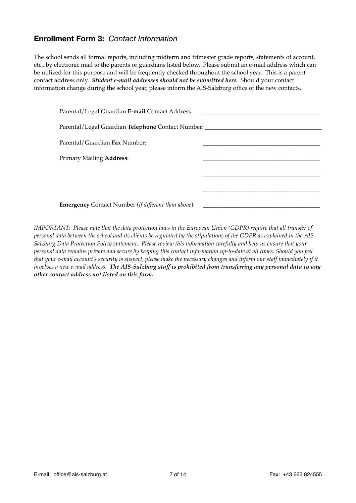# **Enrollment Form 3:** *Contact Information*

The school sends all formal reports, including midterm and trimester grade reports, statements of account, etc., by electronic mail to the parents or guardians listed below. Please submit an e-mail address which can be utilized for this purpose and will be frequently checked throughout the school year. This is a parent contact address only. *Student e-mail addresses should not be submitted here.* Should your contact information change during the school year, please inform the AIS-Salzburg office of the new contacts.

| Parental/Legal Guardian E-mail Contact Address:            |  |
|------------------------------------------------------------|--|
| Parental/Legal Guardian Telephone Contact Number: ________ |  |
| Parental/Guardian Fax Number:                              |  |
| <b>Primary Mailing Address:</b>                            |  |
|                                                            |  |
|                                                            |  |
| <b>Emergency</b> Contact Number (if different than above): |  |

*IMPORTANT: Please note that the data protection laws in the European Union (GDPR) require that all transfer of personal data between the school and its clients be regulated by the stipulations of the GDPR as explained in the AIS-Salzburg Data Protection Policy statement. Please review this information carefully and help us ensure that your personal data remains private and secure by keeping this contact information up-to-date at all times. Should you feel that your e-mail account's security is suspect, please make the necessary changes and inform our staff immediately if it involves a new e-mail address. The AIS-Salzburg staff is prohibited from transferring any personal data to any other contact address not listed on this form.*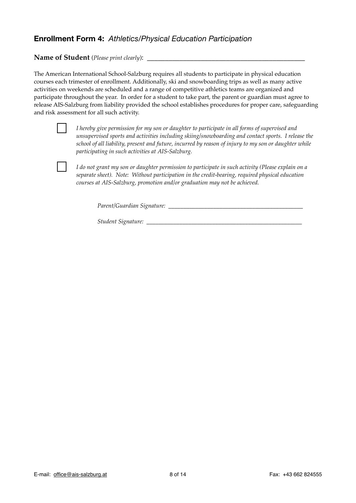# **Enrollment Form 4:** *Athletics/Physical Education Participation*

Name of Student (*Please print clearly*):

The American International School-Salzburg requires all students to participate in physical education courses each trimester of enrollment. Additionally, ski and snowboarding trips as well as many active activities on weekends are scheduled and a range of competitive athletics teams are organized and participate throughout the year. In order for a student to take part, the parent or guardian must agree to release AIS-Salzburg from liability provided the school establishes procedures for proper care, safeguarding and risk assessment for all such activity.



*I hereby give permission for my son or daughter to participate in all forms of supervised and unsupervised sports and activities including skiing/snowboarding and contact sports. I release the school of all liability, present and future, incurred by reason of injury to my son or daughter while participating in such activities at AIS-Salzburg.*



*I do not grant my son or daughter permission to participate in such activity (Please explain on a separate sheet). Note: Without participation in the credit-bearing, required physical education courses at AIS-Salzburg, promotion and/or graduation may not be achieved.*

*Parent/Guardian Signature:*  $\frac{1}{2}$  *Parent/Guardian Signature:* 

*Student Signature: \_\_\_\_\_\_\_\_\_\_\_\_\_\_\_\_\_\_\_\_\_\_\_\_\_\_\_\_\_\_\_\_\_\_\_\_\_\_\_\_\_\_\_\_\_\_\_\_\_\_\_\_*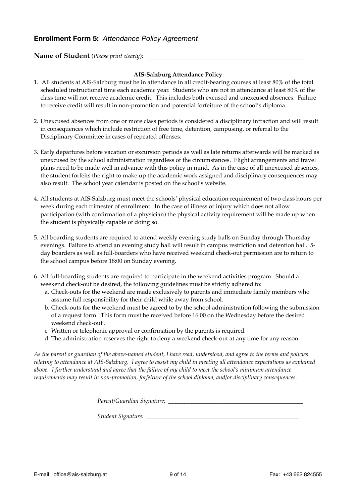### **Enrollment Form 5:** *Attendance Policy Agreement*

### **Name of Student** (*Please print clearly*): \_\_\_\_\_\_\_\_\_\_\_\_\_\_\_\_\_\_\_\_\_\_\_\_\_\_\_\_\_\_\_\_\_\_\_\_\_\_\_\_\_\_\_\_

### **AIS-Salzburg Attendance Policy**

- 1. All students at AIS-Salzburg must be in attendance in all credit-bearing courses at least 80% of the total scheduled instructional time each academic year. Students who are not in attendance at least 80% of the class time will not receive academic credit. This includes both excused and unexcused absences. Failure to receive credit will result in non-promotion and potential forfeiture of the school's diploma.
- 2. Unexcused absences from one or more class periods is considered a disciplinary infraction and will result in consequences which include restriction of free time, detention, campusing, or referral to the Disciplinary Committee in cases of repeated offenses.
- 3. Early departures before vacation or excursion periods as well as late returns afterwards will be marked as unexcused by the school administration regardless of the circumstances. Flight arrangements and travel plans need to be made well in advance with this policy in mind. As in the case of all unexcused absences, the student forfeits the right to make up the academic work assigned and disciplinary consequences may also result. The school year calendar is posted on the school's website.
- 4. All students at AIS-Salzburg must meet the schools' physical education requirement of two class hours per week during each trimester of enrollment. In the case of illness or injury which does not allow participation (with confirmation of a physician) the physical activity requirement will be made up when the student is physically capable of doing so.
- 5. All boarding students are required to attend weekly evening study halls on Sunday through Thursday evenings. Failure to attend an evening study hall will result in campus restriction and detention hall. 5 day boarders as well as full-boarders who have received weekend check-out permission are to return to the school campus before 18:00 on Sunday evening.
- 6. All full-boarding students are required to participate in the weekend activities program. Should a weekend check-out be desired, the following guidelines must be strictly adhered to:
	- a. Check-outs for the weekend are made exclusively to parents and immediate family members who assume full responsibility for their child while away from school.
	- b. Check-outs for the weekend must be agreed to by the school administration following the submission of a request form. This form must be received before 16:00 on the Wednesday before the desired weekend check-out .
	- c. Written or telephonic approval or confirmation by the parents is required.
	- d. The administration reserves the right to deny a weekend check-out at any time for any reason.

*As the parent or guardian of the above-named student, I have read, understood, and agree to the terms and policies relating to attendance at AIS-Salzburg. I agree to assist my child in meeting all attendance expectations as explained above. I further understand and agree that the failure of my child to meet the school's minimum attendance requirements may result in non-promotion, forfeiture of the school diploma, and/or disciplinary consequences.*

*Parent/Guardian Signature:* \_\_\_\_\_\_\_\_\_\_\_\_\_\_\_\_\_\_\_\_\_\_\_\_\_\_\_\_\_\_\_\_\_\_\_\_\_\_\_\_\_\_\_\_\_

*Student Signature:* \_\_\_\_\_\_\_\_\_\_\_\_\_\_\_\_\_\_\_\_\_\_\_\_\_\_\_\_\_\_\_\_\_\_\_\_\_\_\_\_\_\_\_\_\_\_\_\_\_\_\_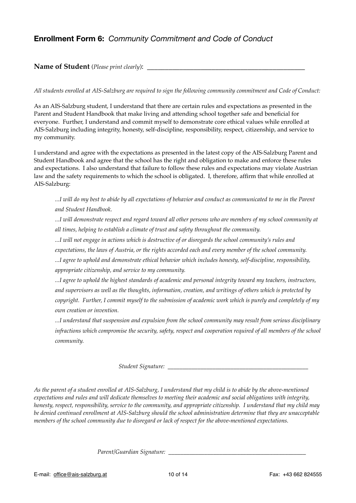# **Enrollment Form 6:** *Community Commitment and Code of Conduct*

### Name of Student (*Please print clearly*):

#### *All students enrolled at AIS-Salzburg are required to sign the following community commitment and Code of Conduct:*

As an AIS-Salzburg student, I understand that there are certain rules and expectations as presented in the Parent and Student Handbook that make living and attending school together safe and beneficial for everyone. Further, I understand and commit myself to demonstrate core ethical values while enrolled at AIS-Salzburg including integrity, honesty, self-discipline, responsibility, respect, citizenship, and service to my community.

I understand and agree with the expectations as presented in the latest copy of the AIS-Salzburg Parent and Student Handbook and agree that the school has the right and obligation to make and enforce these rules and expectations. I also understand that failure to follow these rules and expectations may violate Austrian law and the safety requirements to which the school is obligated. I, therefore, affirm that while enrolled at AIS-Salzburg:

*...I will do my best to abide by all expectations of behavior and conduct as communicated to me in the Parent and Student Handbook.*

*...I will demonstrate respect and regard toward all other persons who are members of my school community at all times, helping to establish a climate of trust and safety throughout the community.*

*...I will not engage in actions which is destructive of or disregards the school community's rules and* 

*expectations, the laws of Austria, or the rights accorded each and every member of the school community.*

*...I agree to uphold and demonstrate ethical behavior which includes honesty, self-discipline, responsibility, appropriate citizenship, and service to my community.*

*...I agree to uphold the highest standards of academic and personal integrity toward my teachers, instructors, and supervisors as well as the thoughts, information, creation, and writings of others which is protected by copyright. Further, I commit myself to the submission of academic work which is purely and completely of my own creation or invention.*

*...I understand that suspension and expulsion from the school community may result from serious disciplinary infractions which compromise the security, safety, respect and cooperation required of all members of the school community.*

*Student Signature: \_\_\_\_\_\_\_\_\_\_\_\_\_\_\_\_\_\_\_\_\_\_\_\_\_\_\_\_\_\_\_\_\_\_\_\_\_\_\_\_\_\_\_\_\_\_\_*

*As the parent of a student enrolled at AIS-Salzburg, I understand that my child is to abide by the above-mentioned expectations and rules and will dedicate themselves to meeting their academic and social obligations with integrity, honesty, respect, responsibility, service to the community, and appropriate citizenship. I understand that my child may be denied continued enrollment at AIS-Salzburg should the school administration determine that they are unacceptable members of the school community due to disregard or lack of respect for the above-mentioned expectations.*

*Parent/Guardian Signature: \_\_\_\_\_\_\_\_\_\_\_\_\_\_\_\_\_\_\_\_\_\_\_\_\_\_\_\_\_\_\_\_\_\_\_\_\_\_\_\_\_\_\_\_\_\_*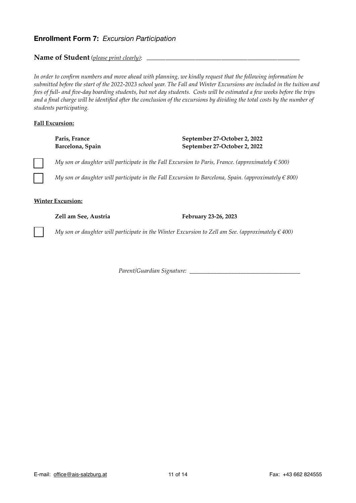### **Enrollment Form 7:** *Excursion Participation*

Name of Student (*please print clearly*): \_

*In order to confirm numbers and move ahead with planning, we kindly request that the following information be submitted before the start of the 2022-2023 school year. The Fall and Winter Excursions are included in the tuition and fees of full- and five-day boarding students, but not day students. Costs will be estimated a few weeks before the trips and a final charge will be identified after the conclusion of the excursions by dividing the total costs by the number of students participating.*

### **Fall Excursion:**

### Paris, France September 27-October 2, 2022 **Barcelona, Spain September 27-October 2, 2022**

*My son or daughter will participate in the Fall Excursion to Paris, France. (approximately*  $\in$  *500)* 

*My son or daughter will participate in the Fall Excursion to Barcelona, Spain. (approximately*  $\in$  *800)* 

#### **Winter Excursion:**

Zell am See, Austria February 23-26, 2023

*My son or daughter will participate in the Winter Excursion to Zell am See. (approximately*  $\in$  400)

*Parent/Guardian Signature:* \_\_\_\_\_\_\_\_\_\_\_\_\_\_\_\_\_\_\_\_\_\_\_\_\_\_\_\_\_\_\_\_\_\_\_\_\_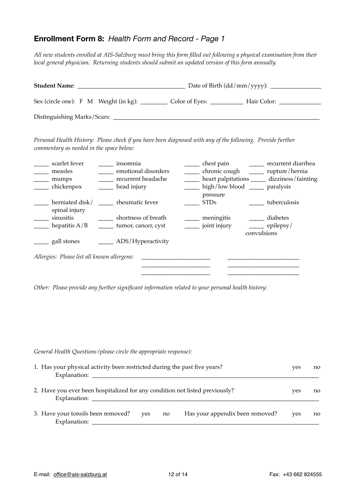# **Enrollment Form 8:** *Health Form and Record - Page 1*

*All new students enrolled at AIS-Salzburg must bring this form filled out following a physical examination from their local general physician. Returning students should submit an updated version of this form annually.*

| <b>Student Name:</b>                  |  |  |                |             |  |  |  |
|---------------------------------------|--|--|----------------|-------------|--|--|--|
| Sex (circle one): F M Weight (in kg): |  |  | Color of Eyes: | Hair Color: |  |  |  |
| Distinguishing Marks/Scars:           |  |  |                |             |  |  |  |

*Personal Health History: Please check if you have been diagnosed with any of the following. Provide further commentary as needed in the space below:*

| scarlet fever<br>measles<br>mumps<br>chickenpox | insomnia<br>emotional disorders<br>recurrent headache<br>head injury | chest pain<br>chronic cough<br>heart palpitations<br>high/low blood |             | recurrent diarrhea<br>rupture/hernia<br>dizziness/fainting<br>paralysis |
|-------------------------------------------------|----------------------------------------------------------------------|---------------------------------------------------------------------|-------------|-------------------------------------------------------------------------|
| herniated disk/<br>spinal injury                | rheumatic fever                                                      | pressure<br><b>STDs</b>                                             |             | tuberculosis                                                            |
| sinusitis                                       | shortness of breath                                                  | meningitis                                                          |             | diabetes                                                                |
| hepatitis $A/B$                                 | tumor, cancer, cyst                                                  | joint injury                                                        | convulsions | epilepsy/                                                               |
| gall stones                                     | ADS/Hyperactivity                                                    |                                                                     |             |                                                                         |
| Allergies: Please list all known allergens:     |                                                                      |                                                                     |             |                                                                         |
|                                                 |                                                                      |                                                                     |             |                                                                         |

*Other: Please provide any further significant information related to your personal health history:*

| General Health Questions (please circle the appropriate response):                          |     |    |                                 |     |    |
|---------------------------------------------------------------------------------------------|-----|----|---------------------------------|-----|----|
| 1. Has your physical activity been restricted during the past five years?<br>Explanation:   |     |    |                                 | yes | no |
| 2. Have you ever been hospitalized for any condition not listed previously?<br>Explanation: |     |    |                                 | yes | no |
| 3. Have your tonsils been removed?<br>Explanation:                                          | yes | no | Has your appendix been removed? | yes | no |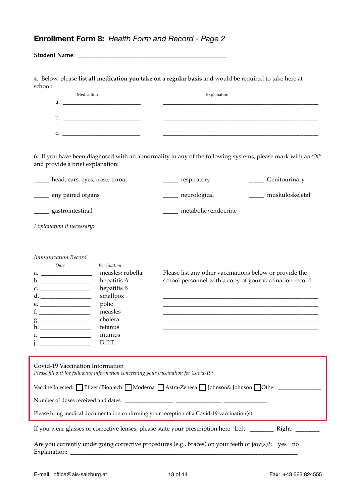# **Enrollment Form 8:** *Health Form and Record - Page 2*

| 4. Below, please list all medication you take on a regular basis and would be required to take here at<br>school:                                                                                                                              |                     |                                                          |  |
|------------------------------------------------------------------------------------------------------------------------------------------------------------------------------------------------------------------------------------------------|---------------------|----------------------------------------------------------|--|
| Medication                                                                                                                                                                                                                                     | Explanation         |                                                          |  |
|                                                                                                                                                                                                                                                |                     |                                                          |  |
|                                                                                                                                                                                                                                                |                     |                                                          |  |
| $c.$ $\qquad \qquad$                                                                                                                                                                                                                           |                     |                                                          |  |
| 6. If you have been diagnosed with an abnormality in any of the following systems, please mark with an "X"<br>and provide a brief explanation:                                                                                                 |                     |                                                          |  |
| head, ears, eyes, nose, throat                                                                                                                                                                                                                 | ______ respiratory  | ______ Genitourinary                                     |  |
| _____ any paired organs                                                                                                                                                                                                                        | _____ neurological  | ____ muskuloskeletal                                     |  |
| ______ gastrointestinal                                                                                                                                                                                                                        | metabolic/endocrine |                                                          |  |
| Explanation if necessary:                                                                                                                                                                                                                      |                     |                                                          |  |
| Immunization Record                                                                                                                                                                                                                            |                     |                                                          |  |
| Date<br>Vaccination                                                                                                                                                                                                                            |                     |                                                          |  |
| measles: rubella                                                                                                                                                                                                                               |                     | Please list any other vaccinations below or provide the  |  |
| hepatitis A                                                                                                                                                                                                                                    |                     | school personnel with a copy of your vaccination record: |  |
| hepatitis B                                                                                                                                                                                                                                    |                     |                                                          |  |
| smallpox<br>polio                                                                                                                                                                                                                              |                     |                                                          |  |
| measles                                                                                                                                                                                                                                        |                     |                                                          |  |
| cholera                                                                                                                                                                                                                                        |                     |                                                          |  |
| tetanus                                                                                                                                                                                                                                        |                     |                                                          |  |
| mumps                                                                                                                                                                                                                                          |                     |                                                          |  |
| D.P.T.<br><u> 1989 - John Harry Harry Harry Harry Harry Harry Harry Harry Harry Harry Harry Harry Harry Harry Harry Harry Harry Harry Harry Harry Harry Harry Harry Harry Harry Harry Harry Harry Harry Harry Harry Harry Harry Harry Harr</u> |                     |                                                          |  |

| Covid-19 Vaccination Information<br>Please fill out the following information concerning your vaccination for Covid-19: |  |  |  |  |
|-------------------------------------------------------------------------------------------------------------------------|--|--|--|--|
| Vaccine Injected: Pfizer/Biontech   Moderna   Astra-Zeneca   Johnson& Johnson   Other: ________                         |  |  |  |  |
|                                                                                                                         |  |  |  |  |
| Please bring medical documentation confirming your reception of a Covid-19 vaccination(s).                              |  |  |  |  |
| If you wear glasses or corrective lenses, please state your prescription here: Left: _________ Right: ________          |  |  |  |  |
| Are you currently undergoing corrective procedures (e.g., braces) on your teeth or jaw(s)?: yes no<br>Explanation: _    |  |  |  |  |